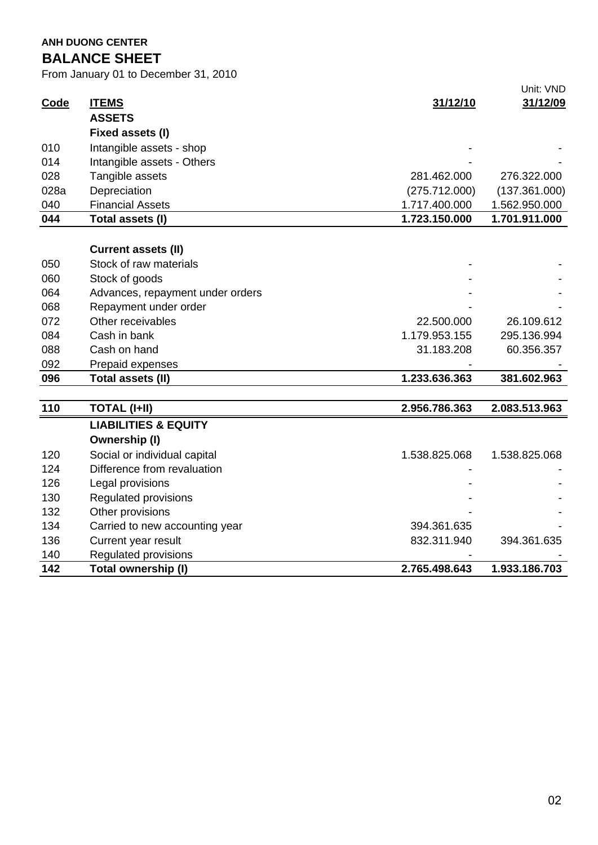**ANH DUONG CENTER BALANCE SHEET**

From January 01 to December 31, 2010

|             |                                  |               | Unit: VND     |
|-------------|----------------------------------|---------------|---------------|
| <b>Code</b> | <b>ITEMS</b>                     | 31/12/10      | 31/12/09      |
|             | <b>ASSETS</b>                    |               |               |
|             | Fixed assets (I)                 |               |               |
| 010         | Intangible assets - shop         |               |               |
| 014         | Intangible assets - Others       |               |               |
| 028         | Tangible assets                  | 281.462.000   | 276.322.000   |
| 028a        | Depreciation                     | (275.712.000) | (137.361.000) |
| 040         | <b>Financial Assets</b>          | 1.717.400.000 | 1.562.950.000 |
| 044         | Total assets (I)                 | 1.723.150.000 | 1.701.911.000 |
|             |                                  |               |               |
|             | <b>Current assets (II)</b>       |               |               |
| 050         | Stock of raw materials           |               |               |
| 060         | Stock of goods                   |               |               |
| 064         | Advances, repayment under orders |               |               |
| 068         | Repayment under order            |               |               |
| 072         | Other receivables                | 22.500.000    | 26.109.612    |
| 084         | Cash in bank                     | 1.179.953.155 | 295.136.994   |
| 088         | Cash on hand                     | 31.183.208    | 60.356.357    |
| 092         | Prepaid expenses                 |               |               |
| 096         | Total assets (II)                | 1.233.636.363 | 381.602.963   |
|             |                                  |               |               |
| 110         | <b>TOTAL (I+II)</b>              | 2.956.786.363 | 2.083.513.963 |
|             | <b>LIABILITIES &amp; EQUITY</b>  |               |               |
|             | Ownership (I)                    |               |               |
| 120         | Social or individual capital     | 1.538.825.068 | 1.538.825.068 |
| 124         | Difference from revaluation      |               |               |
| 126         | Legal provisions                 |               |               |
| 130         | <b>Regulated provisions</b>      |               |               |
| 132         | Other provisions                 |               |               |
| 134         | Carried to new accounting year   | 394.361.635   |               |
| 136         | Current year result              | 832.311.940   | 394.361.635   |
| 140         | <b>Regulated provisions</b>      |               |               |
| 142         | Total ownership (I)              | 2.765.498.643 | 1.933.186.703 |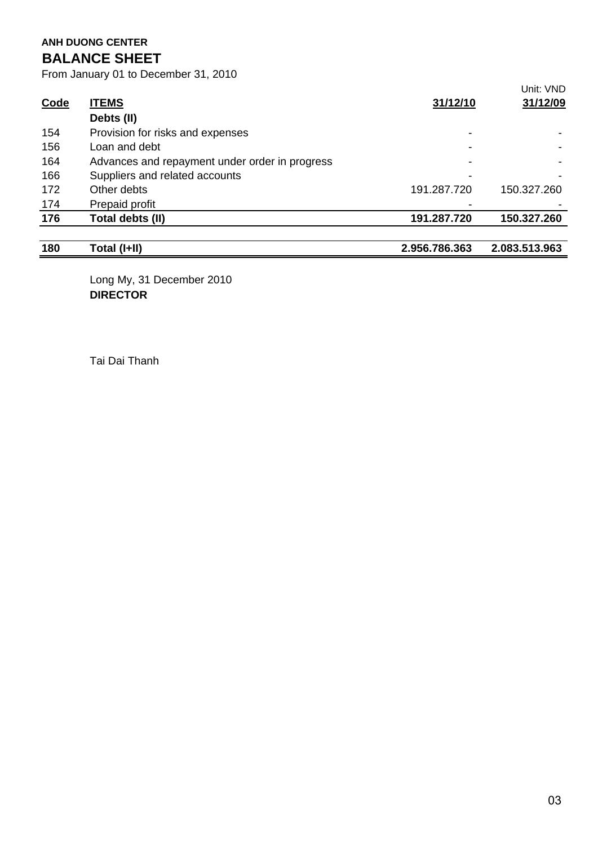# **ANH DUONG CENTER BALANCE SHEET**

From January 01 to December 31, 2010

| 180         | Total (I+II)                                   | 2.956.786.363 | 2.083.513.963 |
|-------------|------------------------------------------------|---------------|---------------|
|             |                                                |               |               |
| 176         | Total debts (II)                               | 191.287.720   | 150.327.260   |
| 174         | Prepaid profit                                 |               |               |
| 172         | Other debts                                    | 191.287.720   | 150.327.260   |
| 166         | Suppliers and related accounts                 |               |               |
| 164         | Advances and repayment under order in progress |               |               |
| 156         | Loan and debt                                  |               |               |
| 154         | Provision for risks and expenses               |               |               |
|             | Debts (II)                                     |               |               |
| <b>Code</b> | <b>ITEMS</b>                                   | 31/12/10      | 31/12/09      |
|             |                                                |               | Unit: VND     |

Long My, 31 December 2010 **DIRECTOR**

Tai Dai Thanh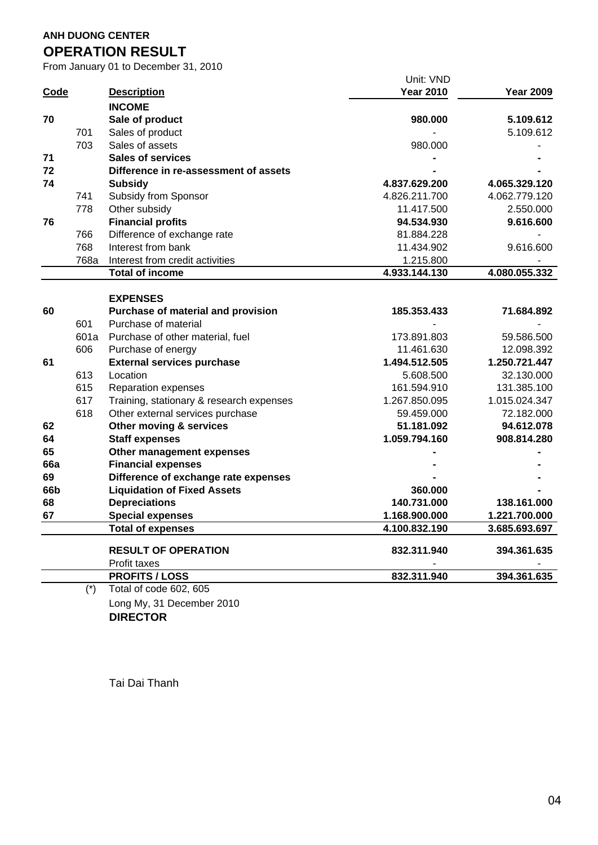### **ANH DUONG CENTER**

# **OPERATION RESULT**

From January 01 to December 31, 2010

|             |       |                                          | Unit: VND        |                  |
|-------------|-------|------------------------------------------|------------------|------------------|
| <b>Code</b> |       | <b>Description</b>                       | <b>Year 2010</b> | <b>Year 2009</b> |
|             |       | <b>INCOME</b>                            |                  |                  |
| 70          |       | Sale of product                          | 980.000          | 5.109.612        |
|             | 701   | Sales of product                         |                  | 5.109.612        |
|             | 703   | Sales of assets                          | 980.000          |                  |
| 71          |       | <b>Sales of services</b>                 |                  |                  |
| 72          |       | Difference in re-assessment of assets    |                  |                  |
| 74          |       | <b>Subsidy</b>                           | 4.837.629.200    | 4.065.329.120    |
|             | 741   | Subsidy from Sponsor                     | 4.826.211.700    | 4.062.779.120    |
|             | 778   | Other subsidy                            | 11.417.500       | 2.550.000        |
| 76          |       | <b>Financial profits</b>                 | 94.534.930       | 9.616.600        |
|             | 766   | Difference of exchange rate              | 81.884.228       |                  |
|             | 768   | Interest from bank                       | 11.434.902       | 9.616.600        |
|             | 768a  | Interest from credit activities          | 1.215.800        |                  |
|             |       | <b>Total of income</b>                   | 4.933.144.130    | 4.080.055.332    |
|             |       |                                          |                  |                  |
|             |       | <b>EXPENSES</b>                          |                  |                  |
| 60          |       | Purchase of material and provision       | 185.353.433      | 71.684.892       |
|             | 601   | Purchase of material                     |                  |                  |
|             | 601a  | Purchase of other material, fuel         | 173.891.803      | 59.586.500       |
|             | 606   | Purchase of energy                       | 11.461.630       | 12.098.392       |
| 61          |       | <b>External services purchase</b>        | 1.494.512.505    | 1.250.721.447    |
|             | 613   | Location                                 | 5.608.500        | 32.130.000       |
|             | 615   | <b>Reparation expenses</b>               | 161.594.910      | 131.385.100      |
|             | 617   | Training, stationary & research expenses | 1.267.850.095    | 1.015.024.347    |
|             | 618   | Other external services purchase         | 59.459.000       | 72.182.000       |
| 62          |       | Other moving & services                  | 51.181.092       | 94.612.078       |
| 64          |       | <b>Staff expenses</b>                    | 1.059.794.160    | 908.814.280      |
| 65          |       | Other management expenses                |                  |                  |
| <b>66a</b>  |       | <b>Financial expenses</b>                |                  |                  |
| 69          |       | Difference of exchange rate expenses     |                  |                  |
| 66b         |       | <b>Liquidation of Fixed Assets</b>       | 360.000          |                  |
| 68          |       | <b>Depreciations</b>                     | 140.731.000      | 138.161.000      |
| 67          |       | <b>Special expenses</b>                  | 1.168.900.000    | 1.221.700.000    |
|             |       | <b>Total of expenses</b>                 | 4.100.832.190    | 3.685.693.697    |
|             |       |                                          |                  |                  |
|             |       | <b>RESULT OF OPERATION</b>               | 832.311.940      | 394.361.635      |
|             |       | Profit taxes                             |                  |                  |
|             |       | <b>PROFITS / LOSS</b>                    | 832.311.940      | 394.361.635      |
|             | $(*)$ | Total of code 602, 605                   |                  |                  |
|             |       | Long My, 31 December 2010                |                  |                  |

**DIRECTOR**

Tai Dai Thanh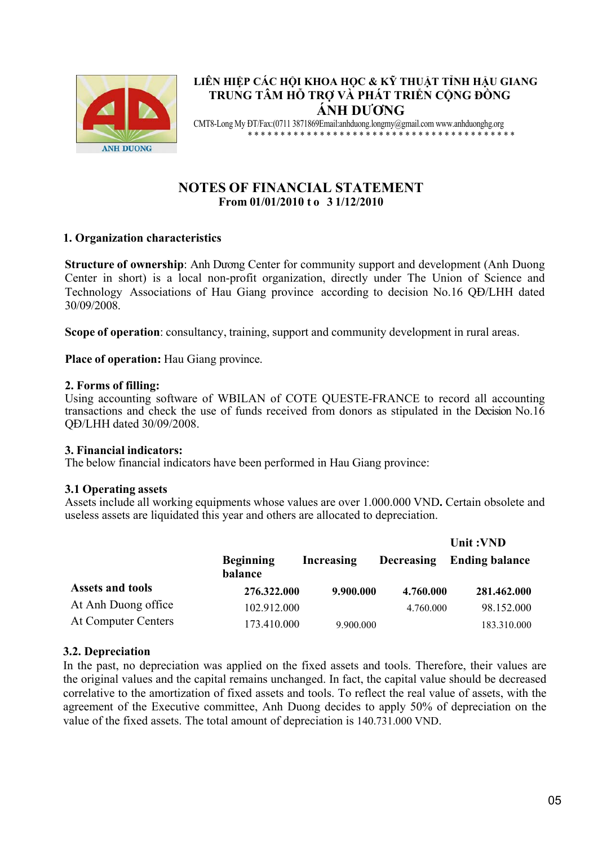

# **LIÊN HIỆP CÁC HỘI KHOA HỌC & KỸ THUẬT TỈNH HẬU GIANG TRUNG TÂM HỖ TRỢ VÀ PHÁT TRIỂN CỘNG ĐỒNG ÁNH DƯƠNG**

CMT8-Long My ĐT/Fax:(0711 3871869Email:anhduong.longmy@gmail.com www.anhduonghg.org \* \* \* \* \* \* \* \* \* \* \* \* \* \* \* \* \* \* \* \* \* \* \* \* \* \* \* \* \* \* \* \* \* \* \* \* \* \* \* \* \*

# **NOTES OF FINANCIAL STATEMENT From 01/01/2010 t o 3 1/12/2010**

# **1. Organization characteristics**

**Structure of ownership**: Anh Dương Center for community support and development (Anh Duong Center in short) is a local non-profit organization, directly under The Union of Science and Technology Associations of Hau Giang province according to decision No.16 QĐ/LHH dated 30/09/2008.

**Scope of operation**: consultancy, training, support and community development in rural areas.

**Place of operation:** Hau Giang province.

### **2. Forms of filling:**

Using accounting software of WBILAN of COTE QUESTE-FRANCE to record all accounting transactions and check the use of funds received from donors as stipulated in the Decision No.16 QĐ/LHH dated 30/09/2008.

#### **3. Financial indicators:**

The below financial indicators have been performed in Hau Giang province:

## **3.1 Operating assets**

Assets include all working equipments whose values are over 1.000.000 VND**.** Certain obsolete and useless assets are liquidated this year and others are allocated to depreciation.

|                            |                             |            |                   | Unit:VND              |
|----------------------------|-----------------------------|------------|-------------------|-----------------------|
|                            | <b>Beginning</b><br>balance | Increasing | <b>Decreasing</b> | <b>Ending balance</b> |
| <b>Assets and tools</b>    | 276.322.000                 | 9.900.000  | 4.760.000         | 281.462.000           |
| At Anh Duong office        | 102.912.000                 |            | 4.760.000         | 98.152.000            |
| <b>At Computer Centers</b> | 173.410.000                 | 9.900.000  |                   | 183.310.000           |

## **3.2. Depreciation**

In the past, no depreciation was applied on the fixed assets and tools. Therefore, their values are the original values and the capital remains unchanged. In fact, the capital value should be decreased correlative to the amortization of fixed assets and tools. To reflect the real value of assets, with the agreement of the Executive committee, Anh Duong decides to apply 50% of depreciation on the value of the fixed assets. The total amount of depreciation is 140.731.000 VND.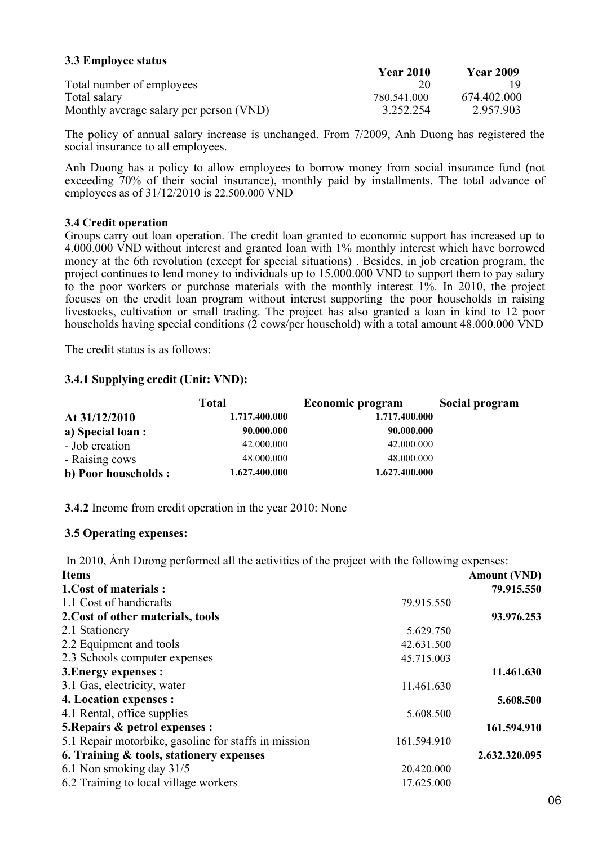### **3.3 Employee status**

|                                         | <b>Year 2010</b> | <b>Year 2009</b> |
|-----------------------------------------|------------------|------------------|
| Total number of employees               |                  |                  |
| Total salary                            | 780.541.000      | 674.402.000      |
| Monthly average salary per person (VND) | 3.252.254        | 2.957.903        |

The policy of annual salary increase is unchanged. From 7/2009, Anh Duong has registered the social insurance to all employees.

Anh Duong has a policy to allow employees to borrow money from social insurance fund (not exceeding 70% of their social insurance), monthly paid by installments. The total advance of employees as of 31/12/2010 is 22.500.000 VND

#### **3.4 Credit operation**

Groups carry out loan operation. The credit loan granted to economic support has increased up to 4.000.000 VND without interest and granted loan with 1% monthly interest which have borrowed money at the 6th revolution (except for special situations) . Besides, in job creation program, the project continues to lend money to individuals up to 15.000.000 VND to support them to pay salary to the poor workers or purchase materials with the monthly interest 1%. In 2010, the project focuses on the credit loan program without interest supporting the poor households in raising livestocks, cultivation or small trading. The project has also granted a loan in kind to 12 poor households having special conditions (2 cows/per household) with a total amount 48.000.000 VND

The credit status is as follows:

### **3.4.1 Supplying credit (Unit: VND):**

|                      | <b>Total</b>  | Economic program | Social program |
|----------------------|---------------|------------------|----------------|
| At 31/12/2010        | 1.717.400.000 | 1.717.400.000    |                |
| a) Special loan :    | 90.000.000    | 90.000.000       |                |
| - Job creation       | 42.000.000    | 42,000,000       |                |
| - Raising cows       | 48,000,000    | 48,000,000       |                |
| b) Poor households : | 1.627.400.000 | 1.627.400.000    |                |

**3.4.2** Income from credit operation in the year 2010: None

#### **3.5 Operating expenses:**

In 2010, Ánh Dương performed all the activities of the project with the following expenses:

| <b>Items</b>                                         |             | <b>Amount (VND)</b> |
|------------------------------------------------------|-------------|---------------------|
| 1. Cost of materials:                                |             | 79.915.550          |
| 1.1 Cost of handicrafts                              | 79.915.550  |                     |
| 2. Cost of other materials, tools                    |             | 93.976.253          |
| 2.1 Stationery                                       | 5.629.750   |                     |
| 2.2 Equipment and tools                              | 42.631.500  |                     |
| 2.3 Schools computer expenses                        | 45.715.003  |                     |
| 3. Energy expenses :                                 |             | 11.461.630          |
| 3.1 Gas, electricity, water                          | 11.461.630  |                     |
| 4. Location expenses :                               |             | 5.608.500           |
| 4.1 Rental, office supplies                          | 5.608.500   |                     |
| 5. Repairs & petrol expenses :                       |             | 161.594.910         |
| 5.1 Repair motorbike, gasoline for staffs in mission | 161.594.910 |                     |
| 6. Training & tools, stationery expenses             |             | 2.632.320.095       |
| 6.1 Non smoking day 31/5                             | 20.420.000  |                     |
| 6.2 Training to local village workers                | 17.625.000  |                     |